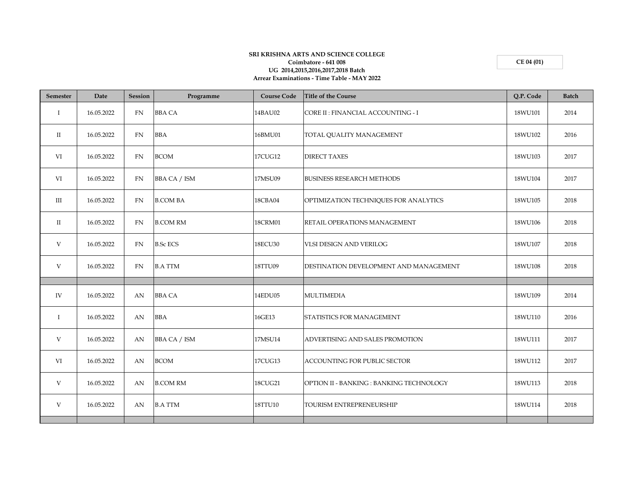## **SRI KRISHNA ARTS AND SCIENCE COLLEGE Coimbatore - 641 008 UG 2014,2015,2016,2017,2018 Batch Arrear Examinations - Time Table - MAY 2022**

**CE 04 (01)**

| Semester     | Date       | Session   | Programme           | <b>Course Code</b> | <b>Title of the Course</b>               | Q.P. Code | <b>Batch</b> |
|--------------|------------|-----------|---------------------|--------------------|------------------------------------------|-----------|--------------|
| $\mathbf{I}$ | 16.05.2022 | FN        | <b>BBA CA</b>       | 14BAU02            | CORE II : FINANCIAL ACCOUNTING - I       | 18WU101   | 2014         |
| $\rm{II}$    | 16.05.2022 | <b>FN</b> | <b>BBA</b>          | 16BMU01            | TOTAL QUALITY MANAGEMENT                 | 18WU102   | 2016         |
| VI           | 16.05.2022 | FN        | <b>BCOM</b>         | 17CUG12            | <b>DIRECT TAXES</b>                      | 18WU103   | 2017         |
| VI           | 16.05.2022 | FN        | <b>BBA CA / ISM</b> | 17MSU09            | <b>BUSINESS RESEARCH METHODS</b>         | 18WU104   | 2017         |
| III          | 16.05.2022 | FN        | <b>B.COM BA</b>     | 18CBA04            | OPTIMIZATION TECHNIQUES FOR ANALYTICS    | 18WU105   | 2018         |
| $\rm II$     | 16.05.2022 | <b>FN</b> | <b>B.COM RM</b>     | <b>18CRM01</b>     | RETAIL OPERATIONS MANAGEMENT             | 18WU106   | 2018         |
| V            | 16.05.2022 | FN        | <b>B.Sc ECS</b>     | 18ECU30            | VLSI DESIGN AND VERILOG                  | 18WU107   | 2018         |
| V            | 16.05.2022 | <b>FN</b> | <b>B.A TTM</b>      | 18TTU09            | DESTINATION DEVELOPMENT AND MANAGEMENT   | 18WU108   | 2018         |
|              |            |           |                     |                    |                                          |           |              |
| IV           | 16.05.2022 | AN        | <b>BBA CA</b>       | 14EDU05            | <b>MULTIMEDIA</b>                        | 18WU109   | 2014         |
| $\mathbf I$  | 16.05.2022 | AN        | <b>BBA</b>          | 16GE13             | STATISTICS FOR MANAGEMENT                | 18WU110   | 2016         |
| V            | 16.05.2022 | AN        | <b>BBA CA / ISM</b> | 17MSU14            | ADVERTISING AND SALES PROMOTION          | 18WU111   | 2017         |
| VI           | 16.05.2022 | AN        | <b>BCOM</b>         | 17CUG13            | <b>ACCOUNTING FOR PUBLIC SECTOR</b>      | 18WU112   | 2017         |
| V            | 16.05.2022 | AN        | <b>B.COM RM</b>     | 18CUG21            | OPTION II - BANKING : BANKING TECHNOLOGY | 18WU113   | 2018         |
| V            | 16.05.2022 | AN        | <b>B.A TTM</b>      | 18TTU10            | TOURISM ENTREPRENEURSHIP                 | 18WU114   | 2018         |
|              |            |           |                     |                    |                                          |           |              |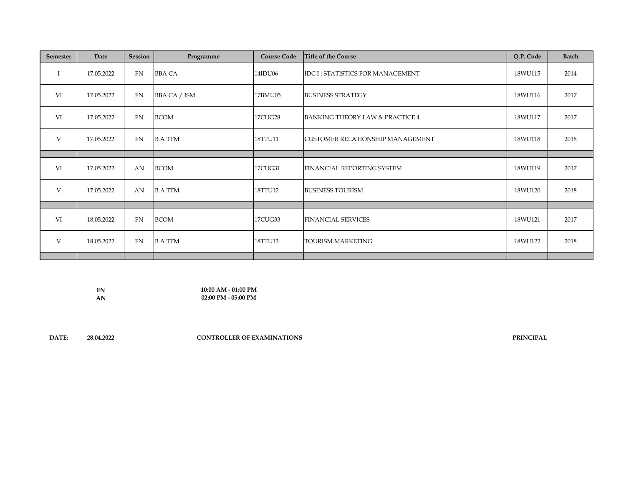| <b>Semester</b> | Date       | <b>Session</b> | Programme           | <b>Course Code</b> | Title of the Course                     | Q.P. Code | <b>Batch</b> |
|-----------------|------------|----------------|---------------------|--------------------|-----------------------------------------|-----------|--------------|
| Ι               | 17.05.2022 | FN             | <b>BBA CA</b>       | 14IDU06            | IDC I: STATISTICS FOR MANAGEMENT        | 18WU115   | 2014         |
| VI              | 17.05.2022 | FN             | <b>BBA CA / ISM</b> | 17BMU05            | <b>BUSINESS STRATEGY</b>                | 18WU116   | 2017         |
| VI              | 17.05.2022 | FN             | <b>BCOM</b>         | <b>17CUG28</b>     | BANKING THEORY LAW & PRACTICE 4         | 18WU117   | 2017         |
| V               | 17.05.2022 | FN             | <b>B.A TTM</b>      | 18TTU11            | <b>CUSTOMER RELATIONSHIP MANAGEMENT</b> | 18WU118   | 2018         |
|                 |            |                |                     |                    |                                         |           |              |
| VI              | 17.05.2022 | AN             | <b>BCOM</b>         | 17CUG31            | FINANCIAL REPORTING SYSTEM              | 18WU119   | 2017         |
| V               | 17.05.2022 | AN             | <b>B.A TTM</b>      | 18TTU12            | <b>BUSINESS TOURISM</b>                 | 18WU120   | 2018         |
|                 |            |                |                     |                    |                                         |           |              |
| VI              | 18.05.2022 | FN             | <b>BCOM</b>         | 17CUG33            | <b>FINANCIAL SERVICES</b>               | 18WU121   | 2017         |
| V               | 18.05.2022 | FN             | <b>B.A TTM</b>      | 18TTU13            | <b>TOURISM MARKETING</b>                | 18WU122   | 2018         |
|                 |            |                |                     |                    |                                         |           |              |

**FN AN 10:00 AM - 01:00 PM 02:00 PM - 05:00 PM**

**DATE: 28.04.2022**

**CONTROLLER OF EXAMINATIONS PRINCIPAL**